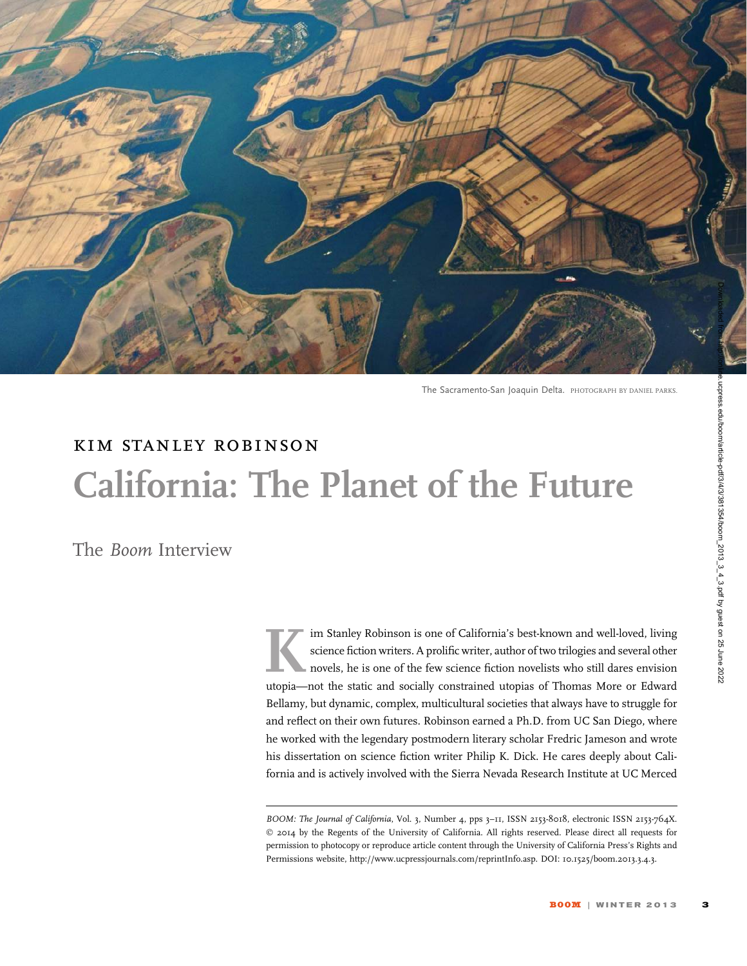

The Sacramento-San Joaquin Delta. PHOTOGRAPH BY DANIEL PARKS.

# kim stanley robinson California: The Planet of the Future

The Boom Interview

Im Stanley Robinson is one of California's best-known and well-loved, living<br>science fiction writers. A prolific writer, author of two trilogies and several other<br>novels, he is one of the few science fiction novelists who science fiction writers. A prolific writer, author of two trilogies and several other novels, he is one of the few science fiction novelists who still dares envision utopia—not the static and socially constrained utopias of Thomas More or Edward Bellamy, but dynamic, complex, multicultural societies that always have to struggle for and reflect on their own futures. Robinson earned a Ph.D. from UC San Diego, where he worked with the legendary postmodern literary scholar Fredric Jameson and wrote his dissertation on science fiction writer Philip K. Dick. He cares deeply about California and is actively involved with the Sierra Nevada Research Institute at UC Merced

BOOM: The Journal of California, Vol. 3, Number 4, pps 3-11, ISSN 2153-8018, electronic ISSN 2153-764X. © 2014 by the Regents of the University of California. All rights reserved. Please direct all requests for permission to photocopy or reproduce article content through the University of California Press's Rights and Permissions website, http://www.ucpressjournals.com/reprintInfo.asp. DOI: 10.1525/boom.2013.3.4.3.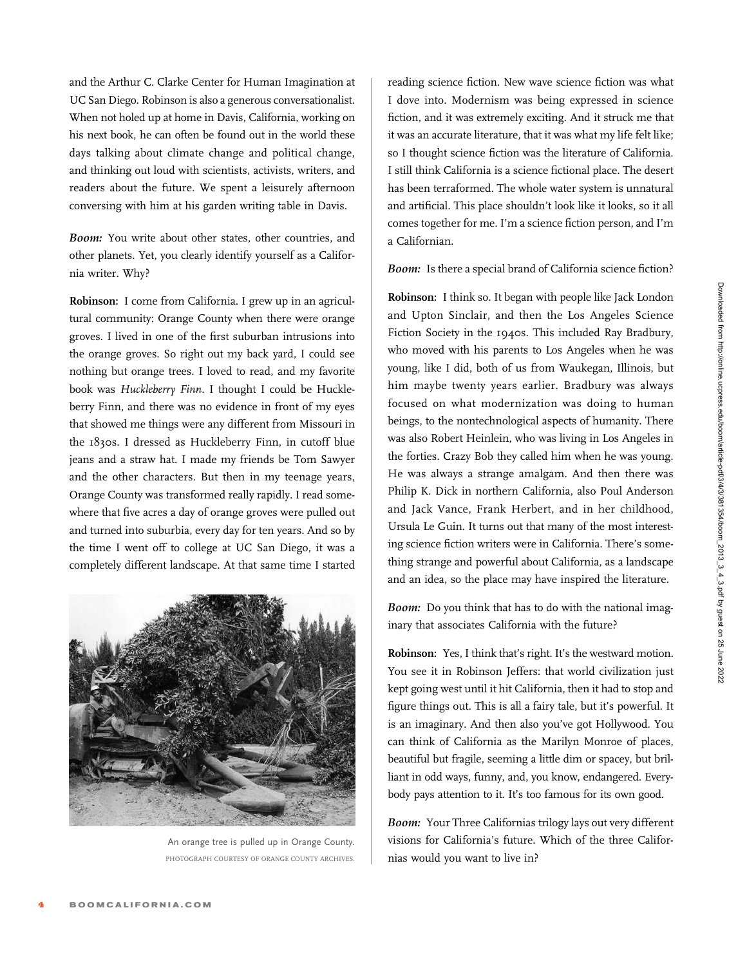and the Arthur C. Clarke Center for Human Imagination at UC San Diego. Robinson is also a generous conversationalist. When not holed up at home in Davis, California, working on his next book, he can often be found out in the world these days talking about climate change and political change, and thinking out loud with scientists, activists, writers, and readers about the future. We spent a leisurely afternoon conversing with him at his garden writing table in Davis.

Boom: You write about other states, other countries, and other planets. Yet, you clearly identify yourself as a California writer. Why?

Robinson: I come from California. I grew up in an agricultural community: Orange County when there were orange groves. I lived in one of the first suburban intrusions into the orange groves. So right out my back yard, I could see nothing but orange trees. I loved to read, and my favorite book was Huckleberry Finn. I thought I could be Huckleberry Finn, and there was no evidence in front of my eyes that showed me things were any different from Missouri in the 1830s. I dressed as Huckleberry Finn, in cutoff blue jeans and a straw hat. I made my friends be Tom Sawyer and the other characters. But then in my teenage years, Orange County was transformed really rapidly. I read somewhere that five acres a day of orange groves were pulled out and turned into suburbia, every day for ten years. And so by the time I went off to college at UC San Diego, it was a completely different landscape. At that same time I started



An orange tree is pulled up in Orange County. PHOTOGRAPH COURTESY OF ORANGE COUNTY ARCHIVES.

reading science fiction. New wave science fiction was what I dove into. Modernism was being expressed in science fiction, and it was extremely exciting. And it struck me that it was an accurate literature, that it was what my life felt like; so I thought science fiction was the literature of California. I still think California is a science fictional place. The desert has been terraformed. The whole water system is unnatural and artificial. This place shouldn't look like it looks, so it all comes together for me. I'm a science fiction person, and I'm a Californian.

## Boom: Is there a special brand of California science fiction?

Robinson: I think so. It began with people like Jack London and Upton Sinclair, and then the Los Angeles Science Fiction Society in the 1940s. This included Ray Bradbury, who moved with his parents to Los Angeles when he was young, like I did, both of us from Waukegan, Illinois, but him maybe twenty years earlier. Bradbury was always focused on what modernization was doing to human beings, to the nontechnological aspects of humanity. There was also Robert Heinlein, who was living in Los Angeles in the forties. Crazy Bob they called him when he was young. He was always a strange amalgam. And then there was Philip K. Dick in northern California, also Poul Anderson and Jack Vance, Frank Herbert, and in her childhood, Ursula Le Guin. It turns out that many of the most interesting science fiction writers were in California. There's something strange and powerful about California, as a landscape and an idea, so the place may have inspired the literature.

Boom: Do you think that has to do with the national imaginary that associates California with the future?

Robinson: Yes, I think that's right. It's the westward motion. You see it in Robinson Jeffers: that world civilization just kept going west until it hit California, then it had to stop and figure things out. This is all a fairy tale, but it's powerful. It is an imaginary. And then also you've got Hollywood. You can think of California as the Marilyn Monroe of places, beautiful but fragile, seeming a little dim or spacey, but brilliant in odd ways, funny, and, you know, endangered. Everybody pays attention to it. It's too famous for its own good.

Boom: Your Three Californias trilogy lays out very different visions for California's future. Which of the three Californias would you want to live in?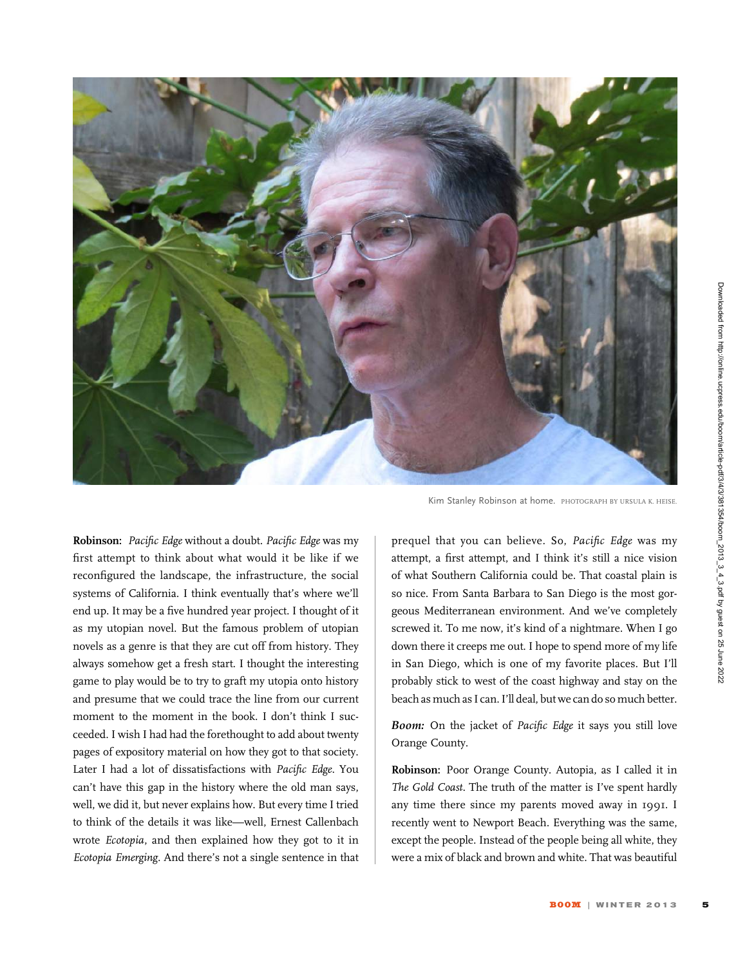

Robinson: Pacific Edge without a doubt. Pacific Edge was my first attempt to think about what would it be like if we reconfigured the landscape, the infrastructure, the social systems of California. I think eventually that's where we'll end up. It may be a five hundred year project. I thought of it as my utopian novel. But the famous problem of utopian novels as a genre is that they are cut off from history. They always somehow get a fresh start. I thought the interesting game to play would be to try to graft my utopia onto history and presume that we could trace the line from our current moment to the moment in the book. I don't think I succeeded. I wish I had had the forethought to add about twenty pages of expository material on how they got to that society. Later I had a lot of dissatisfactions with Pacific Edge. You can't have this gap in the history where the old man says, well, we did it, but never explains how. But every time I tried to think of the details it was like—well, Ernest Callenbach wrote Ecotopia, and then explained how they got to it in Ecotopia Emerging. And there's not a single sentence in that

Kim Stanley Robinson at home. PHOTOGRAPH BY URSULA K. HEISE.

prequel that you can believe. So, Pacific Edge was my attempt, a first attempt, and I think it's still a nice vision of what Southern California could be. That coastal plain is so nice. From Santa Barbara to San Diego is the most gorgeous Mediterranean environment. And we've completely screwed it. To me now, it's kind of a nightmare. When I go down there it creeps me out. I hope to spend more of my life in San Diego, which is one of my favorite places. But I'll probably stick to west of the coast highway and stay on the beach as much as I can. I'll deal, but we can do so much better.

Boom: On the jacket of Pacific Edge it says you still love Orange County.

Robinson: Poor Orange County. Autopia, as I called it in The Gold Coast. The truth of the matter is I've spent hardly any time there since my parents moved away in 1991. I recently went to Newport Beach. Everything was the same, except the people. Instead of the people being all white, they were a mix of black and brown and white. That was beautiful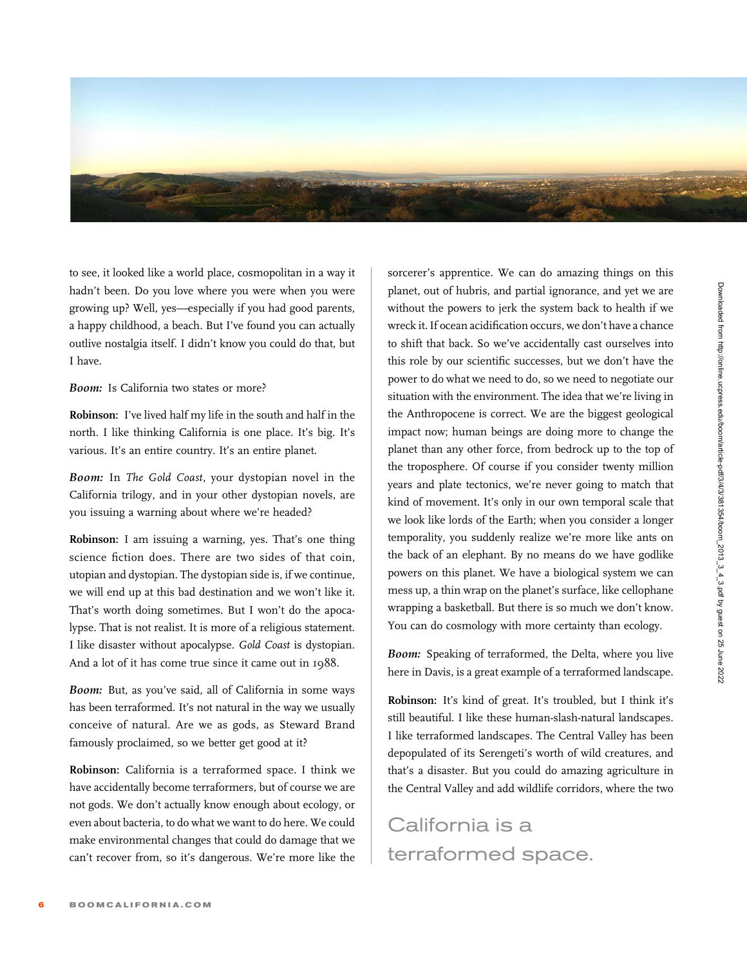

to see, it looked like a world place, cosmopolitan in a way it hadn't been. Do you love where you were when you were growing up? Well, yes—especially if you had good parents, a happy childhood, a beach. But I've found you can actually outlive nostalgia itself. I didn't know you could do that, but I have.

Boom: Is California two states or more?

Robinson: I've lived half my life in the south and half in the north. I like thinking California is one place. It's big. It's various. It's an entire country. It's an entire planet.

Boom: In The Gold Coast, your dystopian novel in the California trilogy, and in your other dystopian novels, are you issuing a warning about where we're headed?

Robinson: I am issuing a warning, yes. That's one thing science fiction does. There are two sides of that coin, utopian and dystopian. The dystopian side is, if we continue, we will end up at this bad destination and we won't like it. That's worth doing sometimes. But I won't do the apocalypse. That is not realist. It is more of a religious statement. I like disaster without apocalypse. Gold Coast is dystopian. And a lot of it has come true since it came out in 1988.

Boom: But, as you've said, all of California in some ways has been terraformed. It's not natural in the way we usually conceive of natural. Are we as gods, as Steward Brand famously proclaimed, so we better get good at it?

Robinson: California is a terraformed space. I think we have accidentally become terraformers, but of course we are not gods. We don't actually know enough about ecology, or even about bacteria, to do what we want to do here. We could make environmental changes that could do damage that we can't recover from, so it's dangerous. We're more like the

sorcerer's apprentice. We can do amazing things on this planet, out of hubris, and partial ignorance, and yet we are without the powers to jerk the system back to health if we wreck it. If ocean acidification occurs, we don't have a chance to shift that back. So we've accidentally cast ourselves into this role by our scientific successes, but we don't have the power to do what we need to do, so we need to negotiate our situation with the environment. The idea that we're living in the Anthropocene is correct. We are the biggest geological impact now; human beings are doing more to change the planet than any other force, from bedrock up to the top of the troposphere. Of course if you consider twenty million years and plate tectonics, we're never going to match that kind of movement. It's only in our own temporal scale that we look like lords of the Earth; when you consider a longer temporality, you suddenly realize we're more like ants on the back of an elephant. By no means do we have godlike powers on this planet. We have a biological system we can mess up, a thin wrap on the planet's surface, like cellophane wrapping a basketball. But there is so much we don't know. You can do cosmology with more certainty than ecology.

Boom: Speaking of terraformed, the Delta, where you live here in Davis, is a great example of a terraformed landscape.

Robinson: It's kind of great. It's troubled, but I think it's still beautiful. I like these human-slash-natural landscapes. I like terraformed landscapes. The Central Valley has been depopulated of its Serengeti's worth of wild creatures, and that's a disaster. But you could do amazing agriculture in the Central Valley and add wildlife corridors, where the two

California is a terraformed space.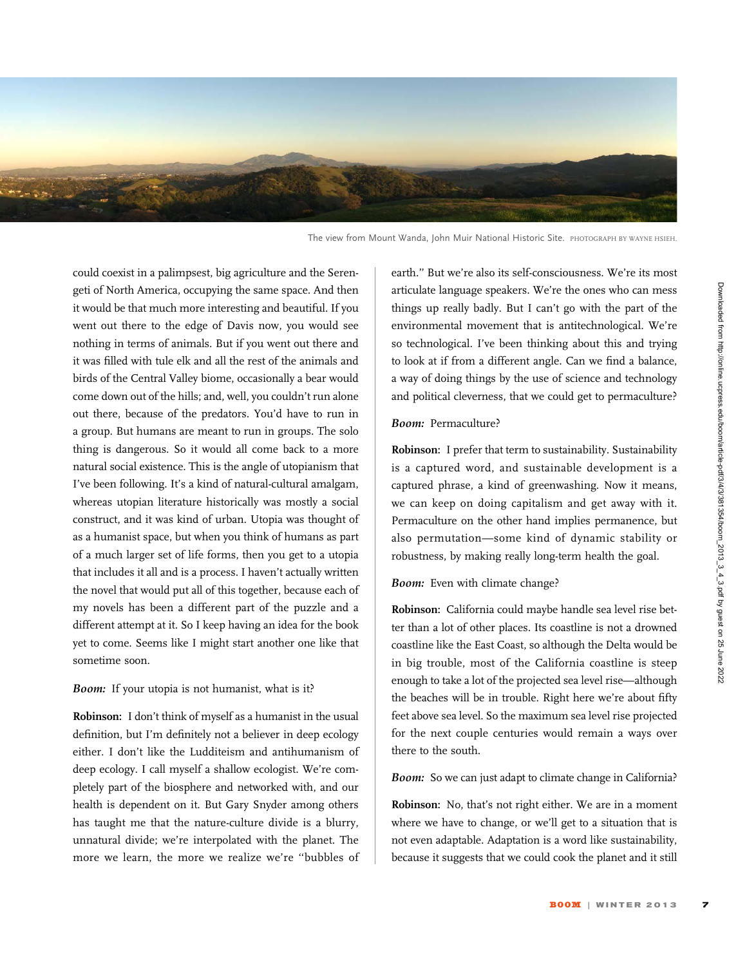

The view from Mount Wanda, John Muir National Historic Site. PHOTOGRAPH BY WAYNE HSIEH.

could coexist in a palimpsest, big agriculture and the Serengeti of North America, occupying the same space. And then it would be that much more interesting and beautiful. If you went out there to the edge of Davis now, you would see nothing in terms of animals. But if you went out there and it was filled with tule elk and all the rest of the animals and birds of the Central Valley biome, occasionally a bear would come down out of the hills; and, well, you couldn't run alone out there, because of the predators. You'd have to run in a group. But humans are meant to run in groups. The solo thing is dangerous. So it would all come back to a more natural social existence. This is the angle of utopianism that I've been following. It's a kind of natural-cultural amalgam, whereas utopian literature historically was mostly a social construct, and it was kind of urban. Utopia was thought of as a humanist space, but when you think of humans as part of a much larger set of life forms, then you get to a utopia that includes it all and is a process. I haven't actually written the novel that would put all of this together, because each of my novels has been a different part of the puzzle and a different attempt at it. So I keep having an idea for the book yet to come. Seems like I might start another one like that sometime soon.

#### Boom: If your utopia is not humanist, what is it?

Robinson: I don't think of myself as a humanist in the usual definition, but I'm definitely not a believer in deep ecology either. I don't like the Ludditeism and antihumanism of deep ecology. I call myself a shallow ecologist. We're completely part of the biosphere and networked with, and our health is dependent on it. But Gary Snyder among others has taught me that the nature-culture divide is a blurry, unnatural divide; we're interpolated with the planet. The more we learn, the more we realize we're ''bubbles of earth.'' But we're also its self-consciousness. We're its most articulate language speakers. We're the ones who can mess things up really badly. But I can't go with the part of the environmental movement that is antitechnological. We're so technological. I've been thinking about this and trying to look at if from a different angle. Can we find a balance, a way of doing things by the use of science and technology and political cleverness, that we could get to permaculture?

#### Boom: Permaculture?

Robinson: I prefer that term to sustainability. Sustainability is a captured word, and sustainable development is a captured phrase, a kind of greenwashing. Now it means, we can keep on doing capitalism and get away with it. Permaculture on the other hand implies permanence, but also permutation—some kind of dynamic stability or robustness, by making really long-term health the goal.

Boom: Even with climate change?

Robinson: California could maybe handle sea level rise better than a lot of other places. Its coastline is not a drowned coastline like the East Coast, so although the Delta would be in big trouble, most of the California coastline is steep enough to take a lot of the projected sea level rise—although the beaches will be in trouble. Right here we're about fifty feet above sea level. So the maximum sea level rise projected for the next couple centuries would remain a ways over there to the south.

Boom: So we can just adapt to climate change in California?

Robinson: No, that's not right either. We are in a moment where we have to change, or we'll get to a situation that is not even adaptable. Adaptation is a word like sustainability, because it suggests that we could cook the planet and it still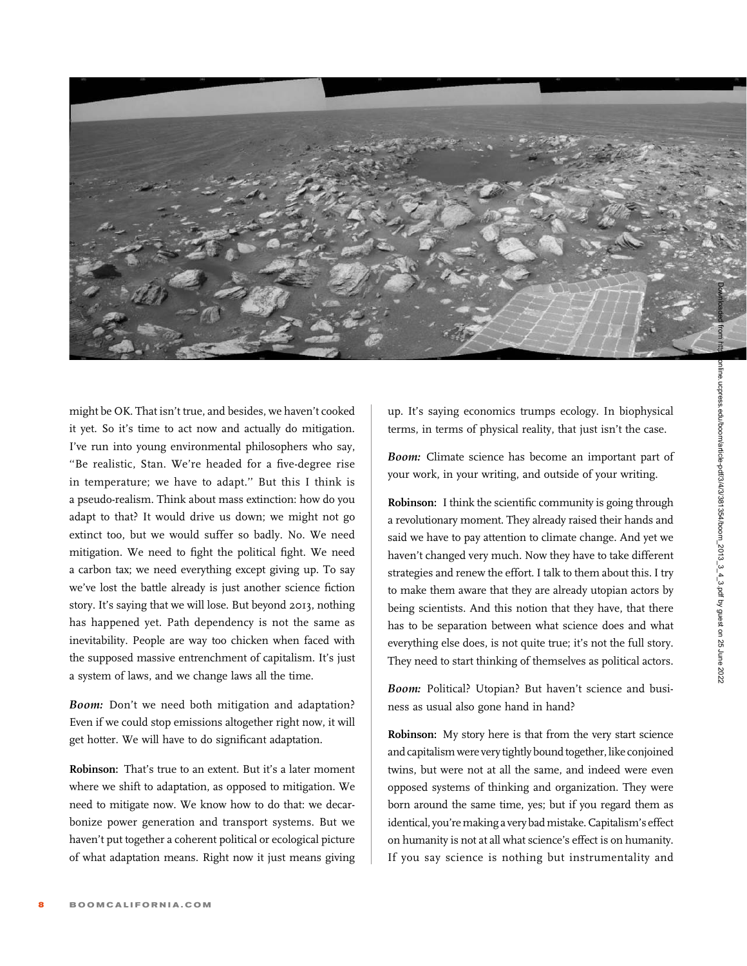

might be OK. That isn't true, and besides, we haven't cooked it yet. So it's time to act now and actually do mitigation. I've run into young environmental philosophers who say, ''Be realistic, Stan. We're headed for a five-degree rise in temperature; we have to adapt.'' But this I think is a pseudo-realism. Think about mass extinction: how do you adapt to that? It would drive us down; we might not go extinct too, but we would suffer so badly. No. We need mitigation. We need to fight the political fight. We need a carbon tax; we need everything except giving up. To say we've lost the battle already is just another science fiction story. It's saying that we will lose. But beyond 2013, nothing has happened yet. Path dependency is not the same as inevitability. People are way too chicken when faced with the supposed massive entrenchment of capitalism. It's just a system of laws, and we change laws all the time.

Boom: Don't we need both mitigation and adaptation? Even if we could stop emissions altogether right now, it will get hotter. We will have to do significant adaptation.

Robinson: That's true to an extent. But it's a later moment where we shift to adaptation, as opposed to mitigation. We need to mitigate now. We know how to do that: we decarbonize power generation and transport systems. But we haven't put together a coherent political or ecological picture of what adaptation means. Right now it just means giving

up. It's saying economics trumps ecology. In biophysical terms, in terms of physical reality, that just isn't the case.

Boom: Climate science has become an important part of your work, in your writing, and outside of your writing.

Robinson: I think the scientific community is going through a revolutionary moment. They already raised their hands and said we have to pay attention to climate change. And yet we haven't changed very much. Now they have to take different strategies and renew the effort. I talk to them about this. I try to make them aware that they are already utopian actors by being scientists. And this notion that they have, that there has to be separation between what science does and what everything else does, is not quite true; it's not the full story. They need to start thinking of themselves as political actors.

Boom: Political? Utopian? But haven't science and business as usual also gone hand in hand?

Robinson: My story here is that from the very start science and capitalism were very tightly bound together, like conjoined twins, but were not at all the same, and indeed were even opposed systems of thinking and organization. They were born around the same time, yes; but if you regard them as identical, you're making a very bad mistake. Capitalism's effect on humanity is not at all what science's effect is on humanity. If you say science is nothing but instrumentality and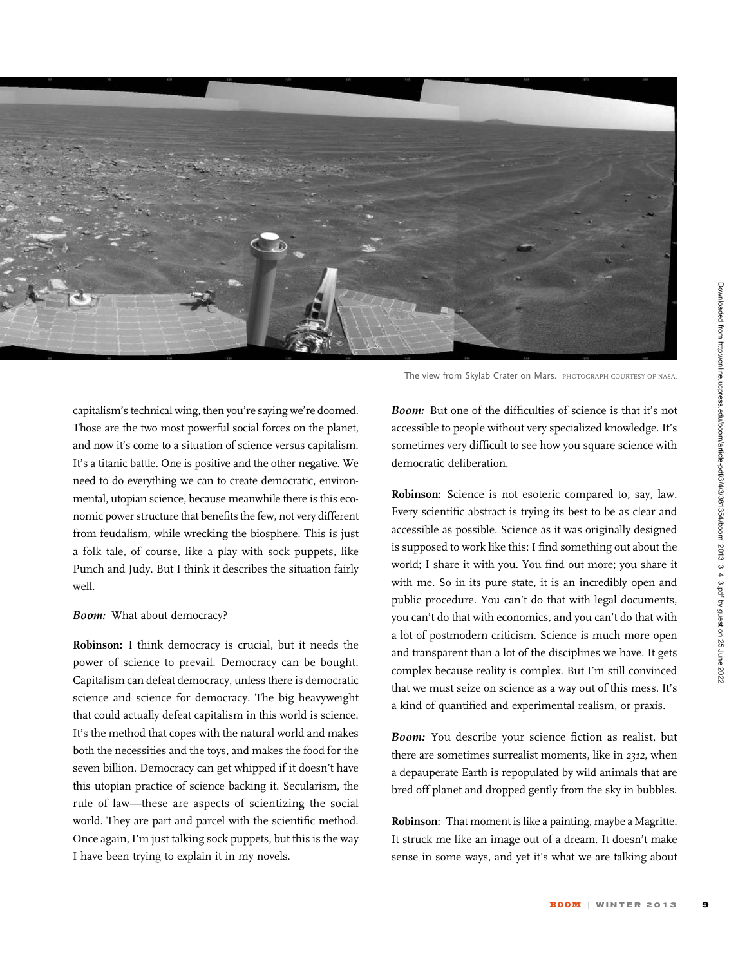

capitalism's technical wing, then you're saying we're doomed. Those are the two most powerful social forces on the planet, and now it's come to a situation of science versus capitalism. It's a titanic battle. One is positive and the other negative. We need to do everything we can to create democratic, environmental, utopian science, because meanwhile there is this economic power structure that benefits the few, not very different from feudalism, while wrecking the biosphere. This is just a folk tale, of course, like a play with sock puppets, like Punch and Judy. But I think it describes the situation fairly well.

### Boom: What about democracy?

Robinson: I think democracy is crucial, but it needs the power of science to prevail. Democracy can be bought. Capitalism can defeat democracy, unless there is democratic science and science for democracy. The big heavyweight that could actually defeat capitalism in this world is science. It's the method that copes with the natural world and makes both the necessities and the toys, and makes the food for the seven billion. Democracy can get whipped if it doesn't have this utopian practice of science backing it. Secularism, the rule of law—these are aspects of scientizing the social world. They are part and parcel with the scientific method. Once again, I'm just talking sock puppets, but this is the way I have been trying to explain it in my novels.

The view from Skylab Crater on Mars. PHOTOGRAPH COURTESY OF NASA.

Boom: But one of the difficulties of science is that it's not accessible to people without very specialized knowledge. It's sometimes very difficult to see how you square science with democratic deliberation.

Robinson: Science is not esoteric compared to, say, law. Every scientific abstract is trying its best to be as clear and accessible as possible. Science as it was originally designed is supposed to work like this: I find something out about the world; I share it with you. You find out more; you share it with me. So in its pure state, it is an incredibly open and public procedure. You can't do that with legal documents, you can't do that with economics, and you can't do that with a lot of postmodern criticism. Science is much more open and transparent than a lot of the disciplines we have. It gets complex because reality is complex. But I'm still convinced that we must seize on science as a way out of this mess. It's a kind of quantified and experimental realism, or praxis.

Boom: You describe your science fiction as realist, but there are sometimes surrealist moments, like in 2312, when a depauperate Earth is repopulated by wild animals that are bred off planet and dropped gently from the sky in bubbles.

Robinson: That moment is like a painting, maybe a Magritte. It struck me like an image out of a dream. It doesn't make sense in some ways, and yet it's what we are talking about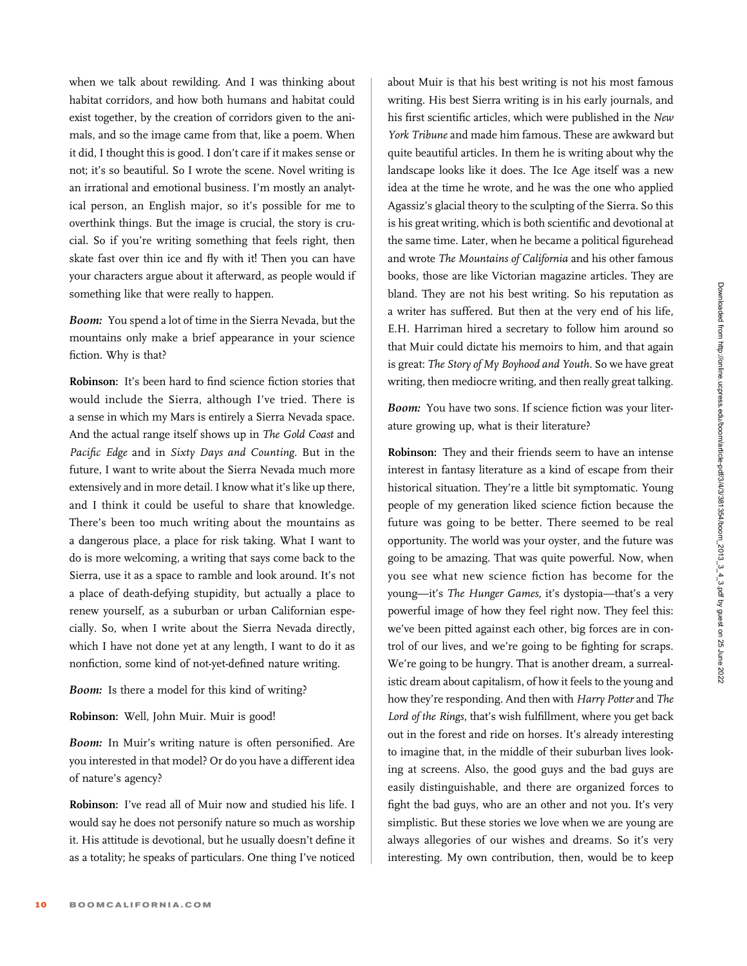when we talk about rewilding. And I was thinking about habitat corridors, and how both humans and habitat could exist together, by the creation of corridors given to the animals, and so the image came from that, like a poem. When it did, I thought this is good. I don't care if it makes sense or not; it's so beautiful. So I wrote the scene. Novel writing is an irrational and emotional business. I'm mostly an analytical person, an English major, so it's possible for me to overthink things. But the image is crucial, the story is crucial. So if you're writing something that feels right, then skate fast over thin ice and fly with it! Then you can have your characters argue about it afterward, as people would if something like that were really to happen.

Boom: You spend a lot of time in the Sierra Nevada, but the mountains only make a brief appearance in your science fiction. Why is that?

Robinson: It's been hard to find science fiction stories that would include the Sierra, although I've tried. There is a sense in which my Mars is entirely a Sierra Nevada space. And the actual range itself shows up in The Gold Coast and Pacific Edge and in Sixty Days and Counting. But in the future, I want to write about the Sierra Nevada much more extensively and in more detail. I know what it's like up there, and I think it could be useful to share that knowledge. There's been too much writing about the mountains as a dangerous place, a place for risk taking. What I want to do is more welcoming, a writing that says come back to the Sierra, use it as a space to ramble and look around. It's not a place of death-defying stupidity, but actually a place to renew yourself, as a suburban or urban Californian especially. So, when I write about the Sierra Nevada directly, which I have not done yet at any length, I want to do it as nonfiction, some kind of not-yet-defined nature writing.

# Boom: Is there a model for this kind of writing?

Robinson: Well, John Muir. Muir is good!

Boom: In Muir's writing nature is often personified. Are you interested in that model? Or do you have a different idea of nature's agency?

Robinson: I've read all of Muir now and studied his life. I would say he does not personify nature so much as worship it. His attitude is devotional, but he usually doesn't define it as a totality; he speaks of particulars. One thing I've noticed

about Muir is that his best writing is not his most famous writing. His best Sierra writing is in his early journals, and his first scientific articles, which were published in the New York Tribune and made him famous. These are awkward but quite beautiful articles. In them he is writing about why the landscape looks like it does. The Ice Age itself was a new idea at the time he wrote, and he was the one who applied Agassiz's glacial theory to the sculpting of the Sierra. So this is his great writing, which is both scientific and devotional at the same time. Later, when he became a political figurehead and wrote The Mountains of California and his other famous books, those are like Victorian magazine articles. They are bland. They are not his best writing. So his reputation as a writer has suffered. But then at the very end of his life, E.H. Harriman hired a secretary to follow him around so that Muir could dictate his memoirs to him, and that again is great: The Story of My Boyhood and Youth. So we have great writing, then mediocre writing, and then really great talking.

Boom: You have two sons. If science fiction was your literature growing up, what is their literature?

Robinson: They and their friends seem to have an intense interest in fantasy literature as a kind of escape from their historical situation. They're a little bit symptomatic. Young people of my generation liked science fiction because the future was going to be better. There seemed to be real opportunity. The world was your oyster, and the future was going to be amazing. That was quite powerful. Now, when you see what new science fiction has become for the young—it's The Hunger Games, it's dystopia—that's a very powerful image of how they feel right now. They feel this: we've been pitted against each other, big forces are in control of our lives, and we're going to be fighting for scraps. We're going to be hungry. That is another dream, a surrealistic dream about capitalism, of how it feels to the young and how they're responding. And then with Harry Potter and The Lord of the Rings, that's wish fulfillment, where you get back out in the forest and ride on horses. It's already interesting to imagine that, in the middle of their suburban lives looking at screens. Also, the good guys and the bad guys are easily distinguishable, and there are organized forces to fight the bad guys, who are an other and not you. It's very simplistic. But these stories we love when we are young are always allegories of our wishes and dreams. So it's very interesting. My own contribution, then, would be to keep